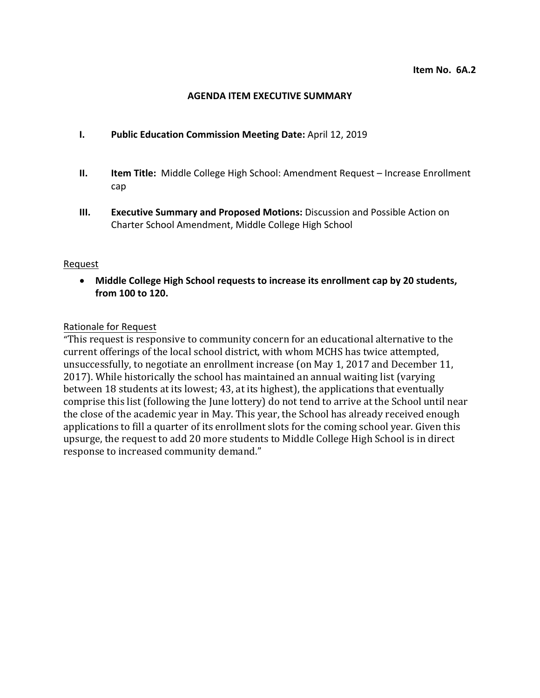#### **AGENDA ITEM EXECUTIVE SUMMARY**

- **I. Public Education Commission Meeting Date:** April 12, 2019
- **II. Item Title:** Middle College High School: Amendment Request Increase Enrollment cap
- **III. Executive Summary and Proposed Motions:** Discussion and Possible Action on Charter School Amendment, Middle College High School

#### Request

• **Middle College High School requests to increase its enrollment cap by 20 students, from 100 to 120.** 

## Rationale for Request

"This request is responsive to community concern for an educational alternative to the current offerings of the local school district, with whom MCHS has twice attempted, unsuccessfully, to negotiate an enrollment increase (on May 1, 2017 and December 11, 2017). While historically the school has maintained an annual waiting list (varying between 18 students at its lowest; 43, at its highest), the applications that eventually comprise this list (following the June lottery) do not tend to arrive at the School until near the close of the academic year in May. This year, the School has already received enough applications to fill a quarter of its enrollment slots for the coming school year. Given this upsurge, the request to add 20 more students to Middle College High School is in direct response to increased community demand."